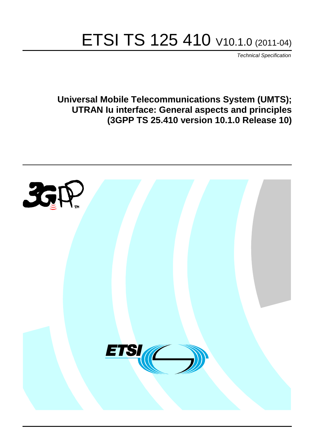# ETSI TS 125 410 V10.1.0 (2011-04)

*Technical Specification*

**Universal Mobile Telecommunications System (UMTS); UTRAN Iu interface: General aspects and principles (3GPP TS 25.410 version 10.1.0 Release 10)**

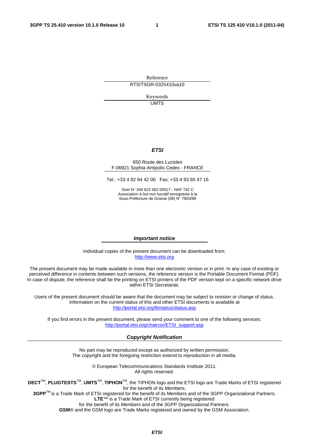Reference RTS/TSGR-0325410va10

> Keywords UMTS

#### *ETSI*

#### 650 Route des Lucioles F-06921 Sophia Antipolis Cedex - FRANCE

Tel.: +33 4 92 94 42 00 Fax: +33 4 93 65 47 16

Siret N° 348 623 562 00017 - NAF 742 C Association à but non lucratif enregistrée à la Sous-Préfecture de Grasse (06) N° 7803/88

#### *Important notice*

Individual copies of the present document can be downloaded from: [http://www.etsi.org](http://www.etsi.org/)

The present document may be made available in more than one electronic version or in print. In any case of existing or perceived difference in contents between such versions, the reference version is the Portable Document Format (PDF). In case of dispute, the reference shall be the printing on ETSI printers of the PDF version kept on a specific network drive within ETSI Secretariat.

Users of the present document should be aware that the document may be subject to revision or change of status. Information on the current status of this and other ETSI documents is available at <http://portal.etsi.org/tb/status/status.asp>

If you find errors in the present document, please send your comment to one of the following services: [http://portal.etsi.org/chaircor/ETSI\\_support.asp](http://portal.etsi.org/chaircor/ETSI_support.asp)

#### *Copyright Notification*

No part may be reproduced except as authorized by written permission. The copyright and the foregoing restriction extend to reproduction in all media.

> © European Telecommunications Standards Institute 2011. All rights reserved.

**DECT**TM, **PLUGTESTS**TM, **UMTS**TM, **TIPHON**TM, the TIPHON logo and the ETSI logo are Trade Marks of ETSI registered for the benefit of its Members.

**3GPP**TM is a Trade Mark of ETSI registered for the benefit of its Members and of the 3GPP Organizational Partners. **LTE**™ is a Trade Mark of ETSI currently being registered

for the benefit of its Members and of the 3GPP Organizational Partners.

**GSM**® and the GSM logo are Trade Marks registered and owned by the GSM Association.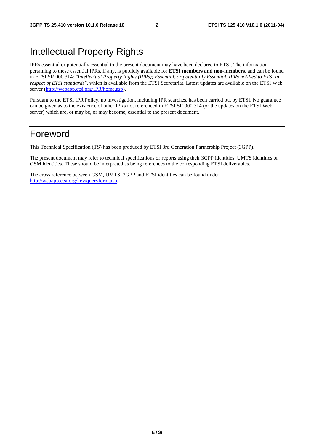# Intellectual Property Rights

IPRs essential or potentially essential to the present document may have been declared to ETSI. The information pertaining to these essential IPRs, if any, is publicly available for **ETSI members and non-members**, and can be found in ETSI SR 000 314: *"Intellectual Property Rights (IPRs); Essential, or potentially Essential, IPRs notified to ETSI in respect of ETSI standards"*, which is available from the ETSI Secretariat. Latest updates are available on the ETSI Web server ([http://webapp.etsi.org/IPR/home.asp\)](http://webapp.etsi.org/IPR/home.asp).

Pursuant to the ETSI IPR Policy, no investigation, including IPR searches, has been carried out by ETSI. No guarantee can be given as to the existence of other IPRs not referenced in ETSI SR 000 314 (or the updates on the ETSI Web server) which are, or may be, or may become, essential to the present document.

# Foreword

This Technical Specification (TS) has been produced by ETSI 3rd Generation Partnership Project (3GPP).

The present document may refer to technical specifications or reports using their 3GPP identities, UMTS identities or GSM identities. These should be interpreted as being references to the corresponding ETSI deliverables.

The cross reference between GSM, UMTS, 3GPP and ETSI identities can be found under [http://webapp.etsi.org/key/queryform.asp.](http://webapp.etsi.org/key/queryform.asp)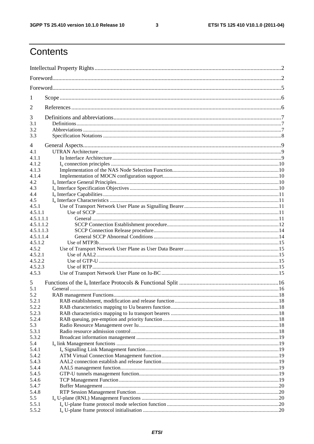$\mathbf{3}$ 

# Contents

| 1              |  |  |  |  |  |  |  |
|----------------|--|--|--|--|--|--|--|
| 2              |  |  |  |  |  |  |  |
| 3              |  |  |  |  |  |  |  |
| 3.1            |  |  |  |  |  |  |  |
| 3.2<br>3.3     |  |  |  |  |  |  |  |
|                |  |  |  |  |  |  |  |
| 4              |  |  |  |  |  |  |  |
| 4.1            |  |  |  |  |  |  |  |
| 4.1.1          |  |  |  |  |  |  |  |
| 4.1.2          |  |  |  |  |  |  |  |
| 4.1.3<br>4.1.4 |  |  |  |  |  |  |  |
| 4.2            |  |  |  |  |  |  |  |
| 4.3            |  |  |  |  |  |  |  |
| 4.4            |  |  |  |  |  |  |  |
| 4.5            |  |  |  |  |  |  |  |
| 4.5.1          |  |  |  |  |  |  |  |
| 4.5.1.1        |  |  |  |  |  |  |  |
| 4.5.1.1.1      |  |  |  |  |  |  |  |
| 4.5.1.1.2      |  |  |  |  |  |  |  |
| 4.5.1.1.3      |  |  |  |  |  |  |  |
| 4.5.1.1.4      |  |  |  |  |  |  |  |
| 4.5.1.2        |  |  |  |  |  |  |  |
| 4.5.2          |  |  |  |  |  |  |  |
| 4.5.2.1        |  |  |  |  |  |  |  |
| 4.5.2.2        |  |  |  |  |  |  |  |
| 4.5.2.3        |  |  |  |  |  |  |  |
| 4.5.3          |  |  |  |  |  |  |  |
| 5              |  |  |  |  |  |  |  |
| 5.1            |  |  |  |  |  |  |  |
| 5.2<br>5.2.1   |  |  |  |  |  |  |  |
| 5.2.2          |  |  |  |  |  |  |  |
| 5.2.3          |  |  |  |  |  |  |  |
| 5.2.4          |  |  |  |  |  |  |  |
| 5.3            |  |  |  |  |  |  |  |
| 5.3.1          |  |  |  |  |  |  |  |
| 5.3.2          |  |  |  |  |  |  |  |
| 5.4            |  |  |  |  |  |  |  |
| 5.4.1          |  |  |  |  |  |  |  |
| 5.4.2          |  |  |  |  |  |  |  |
| 5.4.3          |  |  |  |  |  |  |  |
| 5.4.4          |  |  |  |  |  |  |  |
| 5.4.5          |  |  |  |  |  |  |  |
| 5.4.6          |  |  |  |  |  |  |  |
| 5.4.7          |  |  |  |  |  |  |  |
| 5.4.8          |  |  |  |  |  |  |  |
| 5.5            |  |  |  |  |  |  |  |
| 5.5.1          |  |  |  |  |  |  |  |
| 5.5.2          |  |  |  |  |  |  |  |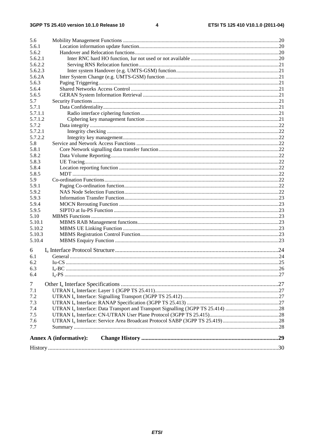| 5.6     |                               |  |
|---------|-------------------------------|--|
| 5.6.1   |                               |  |
| 5.6.2   |                               |  |
| 5.6.2.1 |                               |  |
| 5.6.2.2 |                               |  |
| 5.6.2.3 |                               |  |
| 5.6.2A  |                               |  |
| 5.6.3   |                               |  |
| 5.6.4   |                               |  |
| 5.6.5   |                               |  |
| 5.7     |                               |  |
| 5.7.1   |                               |  |
| 5.7.1.1 |                               |  |
| 5.7.1.2 |                               |  |
| 5.7.2   |                               |  |
| 5.7.2.1 |                               |  |
| 5.7.2.2 |                               |  |
| 5.8     |                               |  |
| 5.8.1   |                               |  |
| 5.8.2   |                               |  |
| 5.8.3   |                               |  |
| 5.8.4   |                               |  |
| 5.8.5   |                               |  |
| 5.9     |                               |  |
| 5.9.1   |                               |  |
| 5.9.2   |                               |  |
| 5.9.3   |                               |  |
| 5.9.4   |                               |  |
| 5.9.5   |                               |  |
| 5.10    |                               |  |
| 5.10.1  |                               |  |
| 5.10.2  |                               |  |
| 5.10.3  |                               |  |
| 5.10.4  |                               |  |
| 6       |                               |  |
| 6.1     |                               |  |
| 6.2     |                               |  |
| 6.3     |                               |  |
| 6.4     |                               |  |
|         |                               |  |
| $\tau$  |                               |  |
| 7.1     |                               |  |
| 7.2     |                               |  |
| 7.3     |                               |  |
| 7.4     |                               |  |
| 7.5     |                               |  |
| 7.6     |                               |  |
| 7.7     |                               |  |
|         | <b>Annex A (informative):</b> |  |
|         |                               |  |
|         |                               |  |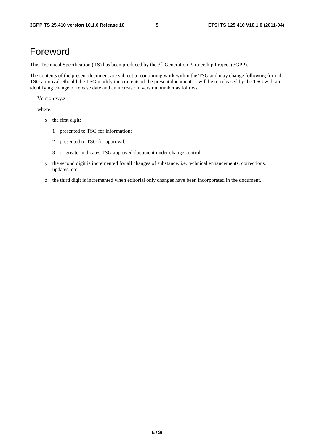# Foreword

This Technical Specification (TS) has been produced by the 3<sup>rd</sup> Generation Partnership Project (3GPP).

The contents of the present document are subject to continuing work within the TSG and may change following formal TSG approval. Should the TSG modify the contents of the present document, it will be re-released by the TSG with an identifying change of release date and an increase in version number as follows:

Version x.y.z

where:

- x the first digit:
	- 1 presented to TSG for information;
	- 2 presented to TSG for approval;
	- 3 or greater indicates TSG approved document under change control.
- y the second digit is incremented for all changes of substance, i.e. technical enhancements, corrections, updates, etc.
- z the third digit is incremented when editorial only changes have been incorporated in the document.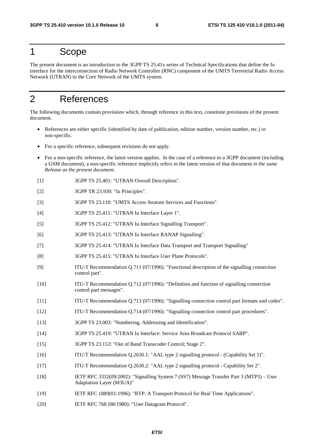### 1 Scope

The present document is an introduction to the 3GPP TS 25.41x series of Technical Specifications that define the Iu interface for the interconnection of Radio Network Controller (RNC) component of the UMTS Terrestrial Radio Access Network (UTRAN) to the Core Network of the UMTS system.

# 2 References

The following documents contain provisions which, through reference in this text, constitute provisions of the present document.

- References are either specific (identified by date of publication, edition number, version number, etc.) or non-specific.
- For a specific reference, subsequent revisions do not apply.
- For a non-specific reference, the latest version applies. In the case of a reference to a 3GPP document (including a GSM document), a non-specific reference implicitly refers to the latest version of that document *in the same Release as the present document*.
- [1] 3GPP TS 25.401: "UTRAN Overall Description".
- [2] 3GPP TR 23.930: "Iu Principles".
- [3] 3GPP TS 23.110: "UMTS Access Stratum Services and Functions".
- [4] 3GPP TS 25.411: "UTRAN Iu Interface Layer 1".
- [5] 3GPP TS 25.412: "UTRAN Iu Interface Signalling Transport".
- [6] 3GPP TS 25.413: "UTRAN Iu Interface RANAP Signalling".
- [7] 3GPP TS 25.414: "UTRAN Iu Interface Data Transport and Transport Signalling"
- [8] 3GPP TS 25.415: "UTRAN Iu Interface User Plane Protocols".
- [9] ITU-T Recommendation Q.711 (07/1996): "Functional description of the signalling connection control part".
- [10] ITU-T Recommendation Q.712 (07/1996): "Definition and function of signalling connection control part messages".
- [11] ITU-T Recommendation Q.713 (07/1996): "Signalling connection control part formats and codes".
- [12] ITU-T Recommendation Q.714 (07/1996): "Signalling connection control part procedures".
- [13] 3GPP TS 23.003: "Numbering, Addressing and Identification".
- [14] 3GPP TS 25.419: "UTRAN Iu Interface: Service Area Broadcast Protocol SABP".
- [15] 3GPP TS 23.153: "Out of Band Transcoder Control; Stage 2".
- [16] ITU-T Recommendation Q.2630.1: "AAL type 2 signalling protocol (Capability Set 1)".
- [17] ITU-T Recommendation Q.2630.2: "AAL type 2 signalling protocol Capability Set 2".
- [18] IETF RFC 3332(09/2002): "Signalling System 7 (SS7) Message Transfer Part 3 (MTP3) User Adaptation Layer (M3UA)"
- [19] IETF RFC 1889(01/1996): "RTP: A Transport Protocol for Real Time Applications".
- [20] IETF RFC 768 (08/1980): "User Datagram Protocol".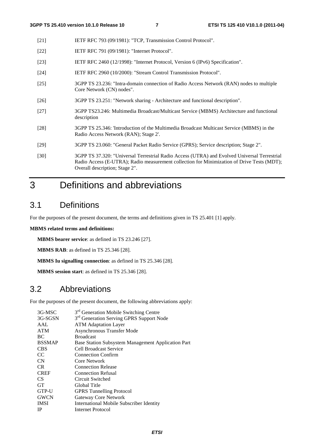- [21] IETF RFC 793 (09/1981): "TCP, Transmission Control Protocol".
- [22] **IETF RFC 791 (09/1981): "Internet Protocol".**
- [23] IETF RFC 2460 (12/1998): "Internet Protocol, Version 6 (IPv6) Specification".
- [24] IETF RFC 2960 (10/2000): "Stream Control Transmission Protocol".
- [25] 3GPP TS 23.236: "Intra-domain connection of Radio Access Network (RAN) nodes to multiple Core Network (CN) nodes".
- [26] 3GPP TS 23.251: "Network sharing Architecture and functional description".
- [27] 3GPP TS23.246: Multimedia Broadcast/Multicast Service (MBMS) Architecture and functional description
- [28] 3GPP TS 25.346: 'Introduction of the Multimedia Broadcast Multicast Service (MBMS) in the Radio Access Network (RAN); Stage 2'.
- [29] 3GPP TS 23.060: "General Packet Radio Service (GPRS); Service description; Stage 2".
- [30] 3GPP TS 37.320: "Universal Terrestrial Radio Access (UTRA) and Evolved Universal Terrestrial Radio Access (E-UTRA); Radio measurement collection for Minimization of Drive Tests (MDT); Overall description; Stage 2".

# 3 Definitions and abbreviations

### 3.1 Definitions

For the purposes of the present document, the terms and definitions given in TS 25.401 [1] apply.

#### **MBMS related terms and definitions:**

**MBMS bearer service**: as defined in TS 23.246 [27].

**MBMS RAB**: as defined in TS 25.346 [28].

**MBMS Iu signalling connection**: as defined in TS 25.346 [28].

**MBMS session start**: as defined in TS 25.346 [28].

# 3.2 Abbreviations

For the purposes of the present document, the following abbreviations apply:

| 3G-MSC        | 3 <sup>rd</sup> Generation Mobile Switching Centre   |
|---------------|------------------------------------------------------|
| 3G-SGSN       | 3 <sup>rd</sup> Generation Serving GPRS Support Node |
| AAL           | <b>ATM</b> Adaptation Layer                          |
| <b>ATM</b>    | Asynchronous Transfer Mode                           |
| BC            | <b>Broadcast</b>                                     |
| <b>BSSMAP</b> | Base Station Subsystem Management Application Part   |
| <b>CBS</b>    | Cell Broadcast Service                               |
| CC            | <b>Connection Confirm</b>                            |
| CN            | Core Network                                         |
| CR.           | <b>Connection Release</b>                            |
| <b>CREF</b>   | <b>Connection Refusal</b>                            |
| CS            | Circuit Switched                                     |
| <b>GT</b>     | Global Title                                         |
| GTP-U         | <b>GPRS</b> Tunnelling Protocol                      |
| <b>GWCN</b>   | Gateway Core Network                                 |
| <b>IMSI</b>   | International Mobile Subscriber Identity             |
| <b>IP</b>     | Internet Protocol                                    |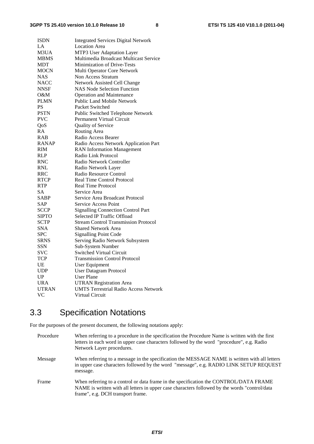| <b>ISDN</b>  | <b>Integrated Services Digital Network</b>   |
|--------------|----------------------------------------------|
| LA           | <b>Location Area</b>                         |
| M3UA         | MTP3 User Adaptation Layer                   |
| <b>MBMS</b>  | Multimedia Broadcast Multicast Service       |
| MDT          | Minimization of Drive-Tests                  |
| MOCN         | Multi Operator Core Network                  |
| NAS          | Non Access Stratum                           |
| <b>NACC</b>  | Network Assisted Cell Change                 |
| <b>NNSF</b>  | <b>NAS Node Selection Function</b>           |
| O&M          | <b>Operation and Maintenance</b>             |
| <b>PLMN</b>  | <b>Public Land Mobile Network</b>            |
| PS           | Packet Switched                              |
| <b>PSTN</b>  | Public Switched Telephone Network            |
| <b>PVC</b>   | Permanent Virtual Circuit                    |
| QoS          | Quality of Service                           |
| RA           | Routing Area                                 |
| <b>RAB</b>   | Radio Access Bearer                          |
| <b>RANAP</b> | Radio Access Network Application Part        |
| RIM          | <b>RAN</b> Information Management            |
| <b>RLP</b>   | Radio Link Protocol                          |
| <b>RNC</b>   | Radio Network Controller                     |
| RNL          | Radio Network Layer                          |
| <b>RRC</b>   | Radio Resource Control                       |
| <b>RTCP</b>  | Real Time Control Protocol                   |
| <b>RTP</b>   | <b>Real Time Protocol</b>                    |
| <b>SA</b>    | Service Area                                 |
| SABP         | Service Area Broadcast Protocol              |
| SAP          | <b>Service Access Point</b>                  |
| <b>SCCP</b>  | <b>Signalling Connection Control Part</b>    |
| <b>SIPTO</b> | Selected IP Traffic Offload                  |
| <b>SCTP</b>  | <b>Stream Control Transmission Protocol</b>  |
| SNA          | <b>Shared Network Area</b>                   |
| <b>SPC</b>   | <b>Signalling Point Code</b>                 |
| <b>SRNS</b>  | Serving Radio Network Subsystem              |
| SSN          | Sub-System Number                            |
| svc          | <b>Switched Virtual Circuit</b>              |
| <b>TCP</b>   | <b>Transmission Control Protocol</b>         |
| UE           | User Equipment                               |
| <b>UDP</b>   | <b>User Datagram Protocol</b>                |
| UP           | <b>User Plane</b>                            |
| <b>URA</b>   | <b>UTRAN Registration Area</b>               |
| <b>UTRAN</b> | <b>UMTS Terrestrial Radio Access Network</b> |
| VC           | <b>Virtual Circuit</b>                       |

# 3.3 Specification Notations

For the purposes of the present document, the following notations apply:

| Procedure | When referring to a procedure in the specification the Procedure Name is written with the first<br>letters in each word in upper case characters followed by the word "procedure", e.g. Radio<br>Network Layer procedures.   |
|-----------|------------------------------------------------------------------------------------------------------------------------------------------------------------------------------------------------------------------------------|
| Message   | When referring to a message in the specification the MESSAGE NAME is written with all letters<br>in upper case characters followed by the word "message", e.g. RADIO LINK SETUP REQUEST<br>message.                          |
| Frame     | When referring to a control or data frame in the specification the CONTROL/DATA FRAME<br>NAME is written with all letters in upper case characters followed by the words "control/data"<br>frame", e.g. DCH transport frame. |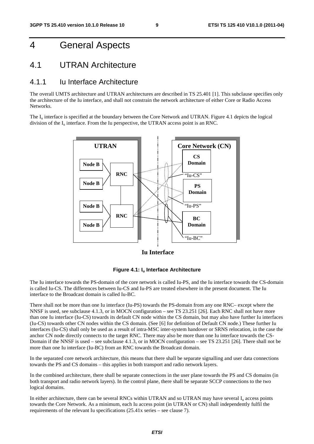# 4 General Aspects

### 4.1 UTRAN Architecture

#### 4.1.1 Iu Interface Architecture

The overall UMTS architecture and UTRAN architectures are described in TS 25.401 [1]. This subclause specifies only the architecture of the Iu interface, and shall not constrain the network architecture of either Core or Radio Access **Networks**.

The  $I_{\text{u}}$  interface is specified at the boundary between the Core Network and UTRAN. Figure 4.1 depicts the logical division of the  $I_u$  interface. From the Iu perspective, the UTRAN access point is an RNC.



**Iu Interface**



The Iu interface towards the PS-domain of the core network is called Iu-PS, and the Iu interface towards the CS-domain is called Iu-CS. The differences between Iu-CS and Iu-PS are treated elsewhere in the present document. The Iu interface to the Broadcast domain is called Iu-BC.

There shall not be more than one Iu interface (Iu-PS) towards the PS-domain from any one RNC– except where the NNSF is used, see subclause 4.1.3, or in MOCN configuration – see TS 23.251 [26]. Each RNC shall not have more than one Iu interface (Iu-CS) towards its default CN node within the CS domain, but may also have further Iu interfaces (Iu-CS) towards other CN nodes within the CS domain. (See [6] for definition of Default CN node.) These further Iu interfaces (Iu-CS) shall only be used as a result of intra-MSC inter-system handover or SRNS relocation, in the case the anchor CN node directly connects to the target RNC. There may also be more than one Iu interface towards the CS-Domain if the NNSF is used – see subclause 4.1.3, or in MOCN configuration – see TS 23.251 [26]. There shall not be more than one Iu interface (Iu-BC) from an RNC towards the Broadcast domain.

In the separated core network architecture, this means that there shall be separate signalling and user data connections towards the PS and CS domains – this applies in both transport and radio network layers.

In the combined architecture, there shall be separate connections in the user plane towards the PS and CS domains (in both transport and radio network layers). In the control plane, there shall be separate SCCP connections to the two logical domains.

In either architecture, there can be several RNCs within UTRAN and so UTRAN may have several  $I<sub>u</sub>$  access points towards the Core Network. As a minimum, each Iu access point (in UTRAN or CN) shall independently fulfil the requirements of the relevant Iu specifications (25.41x series – see clause 7).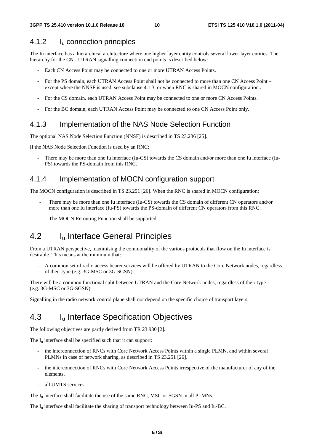#### 4.1.2 Iu connection principles

The Iu interface has a hierarchical architecture where one higher layer entity controls several lower layer entities. The hierarchy for the CN - UTRAN signalling connection end points is described below:

- Each CN Access Point may be connected to one or more UTRAN Access Points.
- For the PS domain, each UTRAN Access Point shall not be connected to more than one CN Access Point except where the NNSF is used, see subclause 4.1.3, or when RNC is shared in MOCN configuration..
- For the CS domain, each UTRAN Access Point may be connected to one or more CN Access Points.
- For the BC domain, each UTRAN Access Point may be connected to one CN Access Point only.

#### 4.1.3 Implementation of the NAS Node Selection Function

The optional NAS Node Selection Function (NNSF) is described in TS 23.236 [25].

If the NAS Node Selection Function is used by an RNC:

There may be more than one Iu interface (Iu-CS) towards the CS domain and/or more than one Iu interface (Iu-PS) towards the PS-domain from this RNC.

#### 4.1.4 Implementation of MOCN configuration support

The MOCN configuration is described in TS 23.251 [26]. When the RNC is shared in MOCN configuration:

- There may be more than one Iu interface (Iu-CS) towards the CS domain of different CN operators and/or more than one Iu interface (Iu-PS) towards the PS-domain of different CN operators from this RNC.
- The MOCN Rerouting Function shall be supported.

### 4.2 I<sub>u</sub> Interface General Principles

From a UTRAN perspective, maximising the commonality of the various protocols that flow on the Iu interface is desirable. This means at the minimum that:

- A common set of radio access bearer services will be offered by UTRAN to the Core Network nodes, regardless of their type (e.g. 3G-MSC or 3G-SGSN).

There will be a common functional split between UTRAN and the Core Network nodes, regardless of their type (e.g. 3G-MSC or 3G-SGSN).

Signalling in the radio network control plane shall not depend on the specific choice of transport layers.

### 4.3 I<sub>u</sub> Interface Specification Objectives

The following objectives are partly derived from TR 23.930 [2].

The  $I_{\rm u}$  interface shall be specified such that it can support:

- the interconnection of RNCs with Core Network Access Points within a single PLMN, and within several PLMNs in case of network sharing, as described in TS 23.251 [26].
- the interconnection of RNCs with Core Network Access Points irrespective of the manufacturer of any of the elements.
- all UMTS services.

The  $I<sub>u</sub>$  interface shall facilitate the use of the same RNC, MSC or SGSN in all PLMNs.

The  $I_{\text{u}}$  interface shall facilitate the sharing of transport technology between Iu-PS and Iu-BC.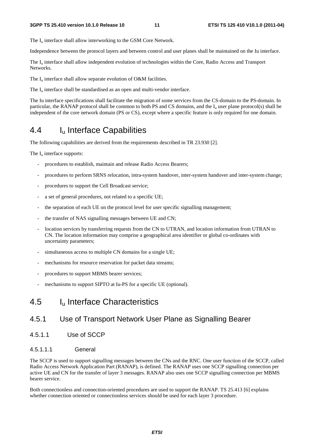The I<sub>u</sub> interface shall allow interworking to the GSM Core Network.

Independence between the protocol layers and between control and user planes shall be maintained on the Iu interface.

The I<sub>u</sub> interface shall allow independent evolution of technologies within the Core, Radio Access and Transport Networks.

The  $I_u$  interface shall allow separate evolution of O&M facilities.

The  $I_{\text{u}}$  interface shall be standardised as an open and multi-vendor interface.

The Iu interface specifications shall facilitate the migration of some services from the CS-domain to the PS-domain. In particular, the RANAP protocol shall be common to both PS and CS domains, and the  $I<sub>u</sub>$  user plane protocol(s) shall be independent of the core network domain (PS or CS), except where a specific feature is only required for one domain.

# 4.4 Iu Interface Capabilities

The following capabilities are derived from the requirements described in TR 23.930 [2].

The  $I_{\nu}$  interface supports:

- procedures to establish, maintain and release Radio Access Bearers;
- procedures to perform SRNS relocation, intra-system handover, inter-system handover and inter-system change;
- procedures to support the Cell Broadcast service;
- a set of general procedures, not related to a specific UE;
- the separation of each UE on the protocol level for user specific signalling management;
- the transfer of NAS signalling messages between UE and CN;
- location services by transferring requests from the CN to UTRAN, and location information from UTRAN to CN. The location information may comprise a geographical area identifier or global co-ordinates with uncertainty parameters;
- simultaneous access to multiple CN domains for a single UE;
- mechanisms for resource reservation for packet data streams;
- procedures to support MBMS bearer services;
- mechanisms to support SIPTO at Iu-PS for a specific UE (optional).

### 4.5 Iu Interface Characteristics

#### 4.5.1 Use of Transport Network User Plane as Signalling Bearer

4.5.1.1 Use of SCCP

#### 4.5.1.1.1 General

The SCCP is used to support signalling messages between the CNs and the RNC. One user function of the SCCP, called Radio Access Network Application Part (RANAP), is defined. The RANAP uses one SCCP signalling connection per active UE and CN for the transfer of layer 3 messages. RANAP also uses one SCCP signalling connection per MBMS bearer service.

Both connectionless and connection-oriented procedures are used to support the RANAP. TS 25.413 [6] explains whether connection oriented or connectionless services should be used for each layer 3 procedure.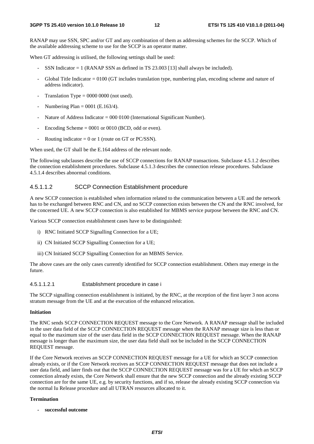RANAP may use SSN, SPC and/or GT and any combination of them as addressing schemes for the SCCP. Which of the available addressing scheme to use for the SCCP is an operator matter.

When GT addressing is utilised, the following settings shall be used:

- SSN Indicator  $= 1$  (RANAP SSN as defined in TS 23.003 [13] shall always be included).
- Global Title Indicator = 0100 (GT includes translation type, numbering plan, encoding scheme and nature of address indicator).
- Translation Type  $= 0000 0000$  (not used).
- Numbering Plan =  $0001$  (E.163/4).
- Nature of Address Indicator =  $000\,0100$  (International Significant Number).
- Encoding Scheme  $= 0001$  or 0010 (BCD, odd or even).
- Routing indicator =  $0$  or 1 (route on GT or PC/SSN).

When used, the GT shall be the E.164 address of the relevant node.

The following subclauses describe the use of SCCP connections for RANAP transactions. Subclause 4.5.1.2 describes the connection establishment procedures. Subclause 4.5.1.3 describes the connection release procedures. Subclause 4.5.1.4 describes abnormal conditions.

#### 4.5.1.1.2 SCCP Connection Establishment procedure

A new SCCP connection is established when information related to the communication between a UE and the network has to be exchanged between RNC and CN, and no SCCP connection exists between the CN and the RNC involved, for the concerned UE. A new SCCP connection is also established for MBMS service purpose between the RNC and CN.

Various SCCP connection establishment cases have to be distinguished:

- i) RNC Initiated SCCP Signalling Connection for a UE;
- ii) CN Initiated SCCP Signalling Connection for a UE;
- iii) CN Initiated SCCP Signalling Connection for an MBMS Service.

The above cases are the only cases currently identified for SCCP connection establishment. Others may emerge in the future.

#### 4.5.1.1.2.1 Establishment procedure in case i

The SCCP signalling connection establishment is initiated, by the RNC, at the reception of the first layer 3 non access stratum message from the UE and at the execution of the enhanced relocation.

#### **Initiation**

The RNC sends SCCP CONNECTION REQUEST message to the Core Network. A RANAP message shall be included in the user data field of the SCCP CONNECTION REQUEST message when the RANAP message size is less than or equal to the maximum size of the user data field in the SCCP CONNECTION REQUEST message. When the RANAP message is longer than the maximum size, the user data field shall not be included in the SCCP CONNECTION REQUEST message.

If the Core Network receives an SCCP CONNECTION REQUEST message for a UE for which an SCCP connection already exists, or if the Core Network receives an SCCP CONNECTION REQUEST message that does not include a user data field, and later finds out that the SCCP CONNECTION REQUEST message was for a UE for which an SCCP connection already exists, the Core Network shall ensure that the new SCCP connection and the already existing SCCP connection are for the same UE, e.g. by security functions, and if so, release the already existing SCCP connection via the normal Iu Release procedure and all UTRAN resources allocated to it.

#### **Termination**

**- successful outcome**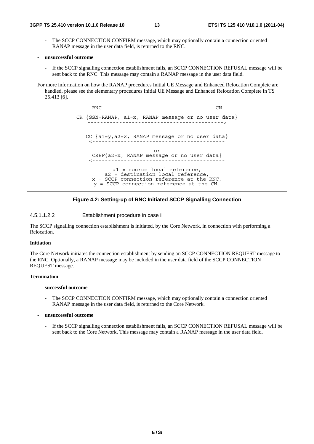- The SCCP CONNECTION CONFIRM message, which may optionally contain a connection oriented RANAP message in the user data field, is returned to the RNC.
- **unsuccessful outcome** 
	- If the SCCP signalling connection establishment fails, an SCCP CONNECTION REFUSAL message will be sent back to the RNC. This message may contain a RANAP message in the user data field.

For more information on how the RANAP procedures Initial UE Message and Enhanced Relocation Complete are handled, please see the elementary procedures Initial UE Message and Enhanced Relocation Complete in TS 25.413 [6].

> RNC CN CR  ${SSN=RANAP, a1=x, RANAP message or no user data}$ CC {a1=y,a2=x, RANAP message or no user data} <----------------------------------------- or CREF{a2=x, RANAP message or no user data} <----------------------------------------- a1 = source local reference, a2 = destination local reference,  $x =$  SCCP connection reference at the RNC, y = SCCP connection reference at the CN.



4.5.1.1.2.2 Establishment procedure in case ii

The SCCP signalling connection establishment is initiated, by the Core Network, in connection with performing a Relocation.

#### **Initiation**

The Core Network initiates the connection establishment by sending an SCCP CONNECTION REQUEST message to the RNC. Optionally, a RANAP message may be included in the user data field of the SCCP CONNECTION REQUEST message.

#### **Termination**

- **successful outcome** 
	- The SCCP CONNECTION CONFIRM message, which may optionally contain a connection oriented RANAP message in the user data field, is returned to the Core Network.
- **unsuccessful outcome** 
	- If the SCCP signalling connection establishment fails, an SCCP CONNECTION REFUSAL message will be sent back to the Core Network. This message may contain a RANAP message in the user data field.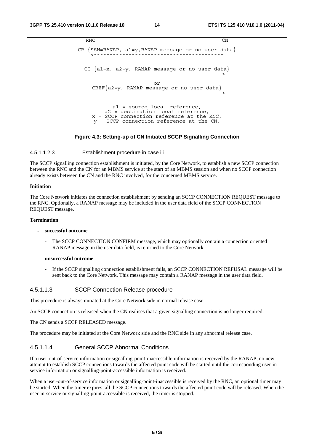```
RNC CN
CR \n{SSN=RANAP, al=y, RANAP message or no user data}CC \{a1=x, a2=y, RANAP message or no user data\}or 
    CREF{a2=y, RANAP message or no user data} 
                      ------------------------------------------> 
          a1 = source local reference, 
        a2 = destination local reference, 
    x = SCCP connection reference at the RNC, 
    y = SCCP connection reference at the CN.
```
#### **Figure 4.3: Setting-up of CN Initiated SCCP Signalling Connection**

#### 4.5.1.1.2.3 Establishment procedure in case iii

The SCCP signalling connection establishment is initiated, by the Core Network, to establish a new SCCP connection between the RNC and the CN for an MBMS service at the start of an MBMS session and when no SCCP connection already exists between the CN and the RNC involved, for the concerned MBMS service.

#### **Initiation**

The Core Network initiates the connection establishment by sending an SCCP CONNECTION REQUEST message to the RNC. Optionally, a RANAP message may be included in the user data field of the SCCP CONNECTION REQUEST message.

#### **Termination**

#### **- successful outcome**

- The SCCP CONNECTION CONFIRM message, which may optionally contain a connection oriented RANAP message in the user data field, is returned to the Core Network.
- **unsuccessful outcome** 
	- If the SCCP signalling connection establishment fails, an SCCP CONNECTION REFUSAL message will be sent back to the Core Network. This message may contain a RANAP message in the user data field.

#### 4.5.1.1.3 SCCP Connection Release procedure

This procedure is always initiated at the Core Network side in normal release case.

An SCCP connection is released when the CN realises that a given signalling connection is no longer required.

The CN sends a SCCP RELEASED message.

The procedure may be initiated at the Core Network side and the RNC side in any abnormal release case.

#### 4.5.1.1.4 General SCCP Abnormal Conditions

If a user-out-of-service information or signalling-point-inaccessible information is received by the RANAP, no new attempt to establish SCCP connections towards the affected point code will be started until the corresponding user-inservice information or signalling-point-accessible information is received.

When a user-out-of-service information or signalling-point-inaccessible is received by the RNC, an optional timer may be started. When the timer expires, all the SCCP connections towards the affected point code will be released. When the user-in-service or signalling-point-accessible is received, the timer is stopped.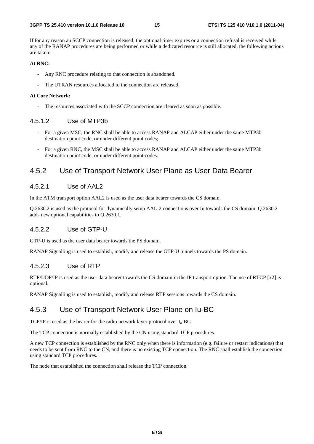If for any reason an SCCP connection is released, the optional timer expires or a connection refusal is received while any of the RANAP procedures are being performed or while a dedicated resource is still allocated, the following actions are taken:

#### **At RNC:**

- Any RNC procedure relating to that connection is abandoned.
- The UTRAN resources allocated to the connection are released.

#### **At Core Network:**

The resources associated with the SCCP connection are cleared as soon as possible.

#### 4.5.1.2 Use of MTP3b

- For a given MSC, the RNC shall be able to access RANAP and ALCAP either under the same MTP3b destination point code, or under different point codes;
- For a given RNC, the MSC shall be able to access RANAP and ALCAP either under the same MTP3b destination point code, or under different point codes.

#### 4.5.2 Use of Transport Network User Plane as User Data Bearer

#### 4.5.2.1 Use of AAL2

In the ATM transport option AAL2 is used as the user data bearer towards the CS domain.

Q.2630.2 is used as the protocol for dynamically setup AAL-2 connections over Iu towards the CS domain. Q.2630.2 adds new optional capabilities to Q.2630.1.

#### 4.5.2.2 Use of GTP-U

GTP-U is used as the user data bearer towards the PS domain.

RANAP Signalling is used to establish, modify and release the GTP-U tunnels towards the PS domain.

#### 4.5.2.3 Use of RTP

RTP/UDP/IP is used as the user data bearer towards the CS domain in the IP transport option. The use of RTCP [x2] is optional.

RANAP Signalling is used to establish, modify and release RTP sessions towards the CS domain.

#### 4.5.3 Use of Transport Network User Plane on Iu-BC

TCP/IP is used as the bearer for the radio network layer protocol over  $I_u$ -BC.

The TCP connection is normally established by the CN using standard TCP procedures.

A new TCP connection is established by the RNC only when there is information (e.g. failure or restart indications) that needs to be sent from RNC to the CN, and there is no existing TCP connection. The RNC shall establish the connection using standard TCP procedures.

The node that established the connection shall release the TCP connection.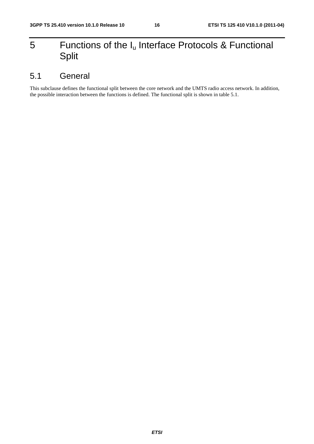# 5 Functions of the  $I_u$  Interface Protocols & Functional Split

# 5.1 General

This subclause defines the functional split between the core network and the UMTS radio access network. In addition, the possible interaction between the functions is defined. The functional split is shown in table 5.1.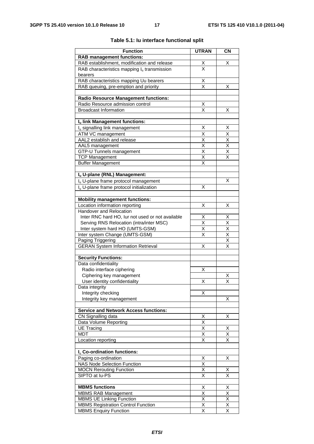| <b>Function</b>                                      | <b>UTRAN</b>                    | CN                           |
|------------------------------------------------------|---------------------------------|------------------------------|
| <b>RAB management functions:</b>                     |                                 |                              |
| RAB establishment, modification and release          |                                 | х                            |
| RAB characteristics mapping $I_u$ transmission       | $\frac{\mathsf{X}}{\mathsf{X}}$ |                              |
| bearers                                              |                                 |                              |
| RAB characteristics mapping Uu bearers               |                                 |                              |
| RAB queuing, pre-emption and priority                | $\frac{\mathsf{X}}{\mathsf{X}}$ | х                            |
|                                                      |                                 |                              |
| <b>Radio Resource Management functions:</b>          |                                 |                              |
| Radio Resource admission control                     | Χ                               |                              |
| <b>Broadcast Information</b>                         | $\overline{\mathsf{x}}$         | X                            |
|                                                      |                                 |                              |
| Iu link Management functions:                        |                                 |                              |
| I <sub>u</sub> signalling link management            | х                               | X                            |
| ATM VC management                                    | X                               | X                            |
| AAL2 establish and release                           | X                               | $\overline{\mathsf{x}}$      |
| AAL <sub>5</sub> management                          | $\overline{\mathsf{x}}$         | $\overline{\mathsf{x}}$      |
| GTP-U Tunnels management                             | $\overline{\mathsf{x}}$         | $\overline{\mathsf{x}}$      |
| <b>TCP Management</b>                                | $\overline{\mathsf{x}}$         | $\overline{\mathsf{x}}$      |
| <b>Buffer Management</b>                             | Χ                               |                              |
|                                                      |                                 |                              |
| Iu U-plane (RNL) Management:                         |                                 | X                            |
| Iu U-plane frame protocol management                 |                                 |                              |
| I <sub>u</sub> U-plane frame protocol initialization | X                               |                              |
| <b>Mobility management functions:</b>                |                                 |                              |
| Location information reporting                       | Χ                               | х                            |
| Handover and Relocation                              |                                 |                              |
| Inter RNC hard HO, lur not used or not available     | Χ                               | Х                            |
| Serving RNS Relocation (intra/inter MSC)             | $\overline{\mathsf{x}}$         | X                            |
| Inter system hard HO (UMTS-GSM)                      | X                               | $\overline{\mathsf{x}}$      |
| Inter system Change (UMTS-GSM)                       | $\overline{\mathsf{x}}$         | $\overline{\mathsf{X}}$      |
| Paging Triggering                                    |                                 | $\overline{\mathsf{x}}$      |
| <b>GERAN System Information Retrieval</b>            | X                               | $\overline{\mathsf{x}}$      |
|                                                      |                                 |                              |
| <b>Security Functions:</b>                           |                                 |                              |
| Data confidentiality                                 |                                 |                              |
| Radio interface ciphering                            | Χ                               |                              |
| Ciphering key management                             |                                 | X                            |
| User identity confidentiality                        | X                               | $\overline{\mathsf{x}}$      |
| Data integrity                                       |                                 |                              |
| Integrity checking<br>Integrity key management       | Χ                               | X                            |
|                                                      |                                 |                              |
| <b>Service and Network Access functions:</b>         |                                 |                              |
| CN Signalling data                                   |                                 | Χ                            |
| Data Volume Reporting                                | $\frac{\mathsf{X}}{\mathsf{X}}$ |                              |
| <b>UE Tracing</b>                                    | X                               | Χ                            |
| <b>MDT</b>                                           | $\overline{\mathsf{x}}$         | $\overline{\mathsf{x}}$      |
| Location reporting                                   | Χ                               | Χ                            |
|                                                      |                                 |                              |
| I <sub>u</sub> Co-ordination functions:              |                                 |                              |
| Paging co-ordination                                 | Χ                               | Χ                            |
| <b>NAS Node Selection Function</b>                   | Χ                               |                              |
| <b>MOCN Rerouting Function</b>                       | $\overline{\mathsf{x}}$         | х<br>$\overline{\mathsf{x}}$ |
| SIPTO at lu-PS                                       | $\overline{\mathsf{x}}$         |                              |
| <b>MBMS</b> functions                                | Χ                               | X                            |
| <b>MBMS RAB Management</b>                           | Χ                               | $\overline{\mathsf{x}}$      |
| <b>MBMS UE Linking Function</b>                      | $\overline{\mathsf{x}}$         | $\overline{\mathsf{x}}$      |
| <b>MBMS Registration Control Function</b>            | $\overline{\mathsf{x}}$         | $\overline{\mathsf{X}}$      |
| <b>MBMS Enquiry Function</b>                         | $\overline{\mathsf{x}}$         | $\overline{\mathsf{x}}$      |
|                                                      |                                 |                              |

#### **Table 5.1: Iu interface functional split**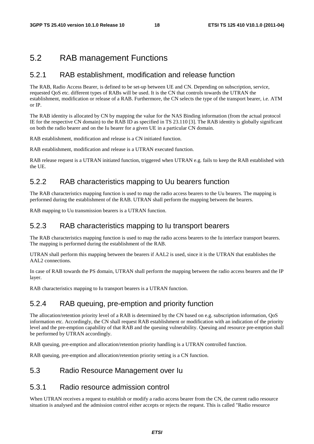### 5.2 RAB management Functions

#### 5.2.1 RAB establishment, modification and release function

The RAB, Radio Access Bearer, is defined to be set-up between UE and CN. Depending on subscription, service, requested QoS etc. different types of RABs will be used. It is the CN that controls towards the UTRAN the establishment, modification or release of a RAB. Furthermore, the CN selects the type of the transport bearer, i.e. ATM or IP.

The RAB identity is allocated by CN by mapping the value for the NAS Binding information (from the actual protocol IE for the respective CN domain) to the RAB ID as specified in TS 23.110 [3]. The RAB identity is globally significant on both the radio bearer and on the Iu bearer for a given UE in a particular CN domain.

RAB establishment, modification and release is a CN initiated function.

RAB establishment, modification and release is a UTRAN executed function.

RAB release request is a UTRAN initiated function, triggered when UTRAN e.g. fails to keep the RAB established with the UE.

#### 5.2.2 RAB characteristics mapping to Uu bearers function

The RAB characteristics mapping function is used to map the radio access bearers to the Uu bearers. The mapping is performed during the establishment of the RAB. UTRAN shall perform the mapping between the bearers.

RAB mapping to Uu transmission bearers is a UTRAN function.

#### 5.2.3 RAB characteristics mapping to Iu transport bearers

The RAB characteristics mapping function is used to map the radio access bearers to the Iu interface transport bearers. The mapping is performed during the establishment of the RAB.

UTRAN shall perform this mapping between the bearers if AAL2 is used, since it is the UTRAN that establishes the AAL2 connections.

In case of RAB towards the PS domain, UTRAN shall perform the mapping between the radio access bearers and the IP layer.

RAB characteristics mapping to Iu transport bearers is a UTRAN function.

#### 5.2.4 RAB queuing, pre-emption and priority function

The allocation/retention priority level of a RAB is determined by the CN based on e.g. subscription information, QoS information etc. Accordingly, the CN shall request RAB establishment or modification with an indication of the priority level and the pre-emption capability of that RAB and the queuing vulnerability. Queuing and resource pre-emption shall be performed by UTRAN accordingly.

RAB queuing, pre-emption and allocation/retention priority handling is a UTRAN controlled function.

RAB queuing, pre-emption and allocation/retention priority setting is a CN function.

#### 5.3 Radio Resource Management over Iu

#### 5.3.1 Radio resource admission control

When UTRAN receives a request to establish or modify a radio access bearer from the CN, the current radio resource situation is analysed and the admission control either accepts or rejects the request. This is called "Radio resource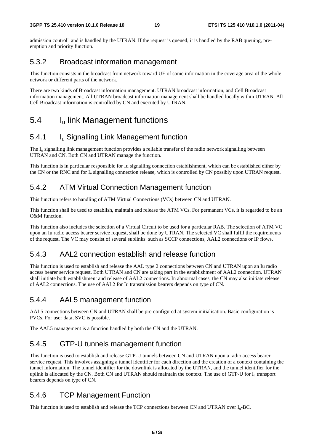admission control" and is handled by the UTRAN. If the request is queued, it is handled by the RAB queuing, preemption and priority function.

#### 5.3.2 Broadcast information management

This function consists in the broadcast from network toward UE of some information in the coverage area of the whole network or different parts of the network.

There are two kinds of Broadcast information management. UTRAN broadcast information, and Cell Broadcast information management. All UTRAN broadcast information management shall be handled locally within UTRAN. All Cell Broadcast information is controlled by CN and executed by UTRAN.

### 5.4 Iu link Management functions

### 5.4.1 Iu Signalling Link Management function

The  $I<sub>u</sub>$  signalling link management function provides a reliable transfer of the radio network signalling between UTRAN and CN. Both CN and UTRAN manage the function.

This function is in particular responsible for Iu signalling connection establishment, which can be established either by the CN or the RNC and for  $I_{\text{u}}$  signalling connection release, which is controlled by CN possibly upon UTRAN request.

#### 5.4.2 ATM Virtual Connection Management function

This function refers to handling of ATM Virtual Connections (VCs) between CN and UTRAN.

This function shall be used to establish, maintain and release the ATM VCs. For permanent VCs, it is regarded to be an O&M function.

This function also includes the selection of a Virtual Circuit to be used for a particular RAB. The selection of ATM VC upon an Iu radio access bearer service request, shall be done by UTRAN. The selected VC shall fulfil the requirements of the request. The VC may consist of several sublinks: such as SCCP connections, AAL2 connections or IP flows.

### 5.4.3 AAL2 connection establish and release function

This function is used to establish and release the AAL type 2 connections between CN and UTRAN upon an Iu radio access bearer service request. Both UTRAN and CN are taking part in the establishment of AAL2 connection. UTRAN shall initiate both establishment and release of AAL2 connections. In abnormal cases, the CN may also initiate release of AAL2 connections. The use of AAL2 for Iu transmission bearers depends on type of CN.

#### 5.4.4 AAL5 management function

AAL5 connections between CN and UTRAN shall be pre-configured at system initialisation. Basic configuration is PVCs. For user data, SVC is possible.

The AAL5 management is a function handled by both the CN and the UTRAN.

### 5.4.5 GTP-U tunnels management function

This function is used to establish and release GTP-U tunnels between CN and UTRAN upon a radio access bearer service request. This involves assigning a tunnel identifier for each direction and the creation of a context containing the tunnel information. The tunnel identifier for the downlink is allocated by the UTRAN, and the tunnel identifier for the uplink is allocated by the CN. Both CN and UTRAN should maintain the context. The use of GTP-U for  $I<sub>u</sub>$  transport bearers depends on type of CN.

### 5.4.6 TCP Management Function

This function is used to establish and release the TCP connections between CN and UTRAN over  $I_n$ -BC.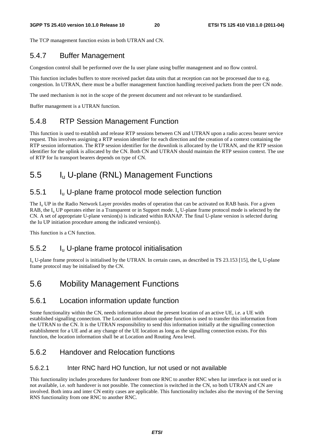The TCP management function exists in both UTRAN and CN.

### 5.4.7 Buffer Management

Congestion control shall be performed over the Iu user plane using buffer management and no flow control.

This function includes buffers to store received packet data units that at reception can not be processed due to e.g. congestion. In UTRAN, there must be a buffer management function handling received packets from the peer CN node.

The used mechanism is not in the scope of the present document and not relevant to be standardised.

Buffer management is a UTRAN function.

### 5.4.8 RTP Session Management Function

This function is used to establish and release RTP sessions between CN and UTRAN upon a radio access bearer service request. This involves assigning a RTP session identifier for each direction and the creation of a context containing the RTP session information. The RTP session identifier for the downlink is allocated by the UTRAN, and the RTP session identifier for the uplink is allocated by the CN. Both CN and UTRAN should maintain the RTP session context. The use of RTP for Iu transport bearers depends on type of CN.

# 5.5 Iu U-plane (RNL) Management Functions

### 5.5.1 Iu U-plane frame protocol mode selection function

The  $I_{\rm u}$  UP in the Radio Network Layer provides modes of operation that can be activated on RAB basis. For a given RAB, the  $I_{\rm u}$  UP operates either in a Transparent or in Support mode.  $I_{\rm u}$  U-plane frame protocol mode is selected by the CN. A set of appropriate U-plane version(s) is indicated within RANAP. The final U-plane version is selected during the Iu UP initiation procedure among the indicated version(s).

This function is a CN function.

#### 5.5.2 Iu U-plane frame protocol initialisation

 $I_{\rm u}$  U-plane frame protocol is initialised by the UTRAN. In certain cases, as described in TS 23.153 [15], the  $I_{\rm u}$  U-plane frame protocol may be initialised by the CN.

# 5.6 Mobility Management Functions

#### 5.6.1 Location information update function

Some functionality within the CN, needs information about the present location of an active UE, i.e. a UE with established signalling connection. The Location information update function is used to transfer this information from the UTRAN to the CN. It is the UTRAN responsibility to send this information initially at the signalling connection establishment for a UE and at any change of the UE location as long as the signalling connection exists. For this function, the location information shall be at Location and Routing Area level.

#### 5.6.2 Handover and Relocation functions

#### 5.6.2.1 Inter RNC hard HO function, Iur not used or not available

This functionality includes procedures for handover from one RNC to another RNC when Iur interface is not used or is not available, i.e. soft handover is not possible. The connection is switched in the CN, so both UTRAN and CN are involved. Both intra and inter CN entity cases are applicable. This functionality includes also the moving of the Serving RNS functionality from one RNC to another RNC.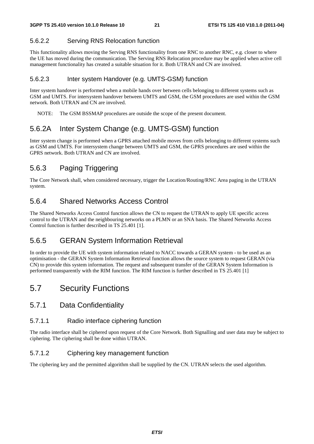#### 5.6.2.2 Serving RNS Relocation function

This functionality allows moving the Serving RNS functionality from one RNC to another RNC, e.g. closer to where the UE has moved during the communication. The Serving RNS Relocation procedure may be applied when active cell management functionality has created a suitable situation for it. Both UTRAN and CN are involved.

#### 5.6.2.3 Inter system Handover (e.g. UMTS-GSM) function

Inter system handover is performed when a mobile hands over between cells belonging to different systems such as GSM and UMTS. For intersystem handover between UMTS and GSM, the GSM procedures are used within the GSM network. Both UTRAN and CN are involved.

NOTE: The GSM BSSMAP procedures are outside the scope of the present document.

### 5.6.2A Inter System Change (e.g. UMTS-GSM) function

Inter system change is performed when a GPRS attached mobile moves from cells belonging to different systems such as GSM and UMTS. For intersystem change between UMTS and GSM, the GPRS procedures are used within the GPRS network. Both UTRAN and CN are involved.

### 5.6.3 Paging Triggering

The Core Network shall, when considered necessary, trigger the Location/Routing/RNC Area paging in the UTRAN system.

### 5.6.4 Shared Networks Access Control

The Shared Networks Access Control function allows the CN to request the UTRAN to apply UE specific access control to the UTRAN and the neighbouring networks on a PLMN or an SNA basis. The Shared Networks Access Control function is further described in TS 25.401 [1].

### 5.6.5 GERAN System Information Retrieval

In order to provide the UE with system information related to NACC towards a GERAN system - to be used as an optimisation - the GERAN System Information Retrieval function allows the source system to request GERAN (via CN) to provide this system information. The request and subsequent transfer of the GERAN System Information is performed transparently with the RIM function. The RIM function is further described in TS 25.401 [1]

### 5.7 Security Functions

#### 5.7.1 Data Confidentiality

#### 5.7.1.1 Radio interface ciphering function

The radio interface shall be ciphered upon request of the Core Network. Both Signalling and user data may be subject to ciphering. The ciphering shall be done within UTRAN.

#### 5.7.1.2 Ciphering key management function

The ciphering key and the permitted algorithm shall be supplied by the CN. UTRAN selects the used algorithm.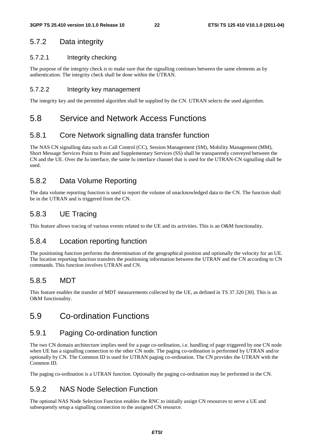### 5.7.2 Data integrity

#### 5.7.2.1 Integrity checking

The purpose of the integrity check is to make sure that the signalling continues between the same elements as by authentication. The integrity check shall be done within the UTRAN.

#### 5.7.2.2 Integrity key management

The integrity key and the permitted algorithm shall be supplied by the CN. UTRAN selects the used algorithm.

### 5.8 Service and Network Access Functions

#### 5.8.1 Core Network signalling data transfer function

The NAS CN signalling data such as Call Control (CC), Session Management (SM), Mobility Management (MM), Short Message Services Point to Point and Supplementary Services (SS) shall be transparently conveyed between the CN and the UE. Over the Iu interface, the same Iu interface channel that is used for the UTRAN-CN signalling shall be used.

### 5.8.2 Data Volume Reporting

The data volume reporting function is used to report the volume of unacknowledged data to the CN. The function shall be in the UTRAN and is triggered from the CN.

### 5.8.3 UE Tracing

This feature allows tracing of various events related to the UE and its activities. This is an O&M functionality.

#### 5.8.4 Location reporting function

The positioning function performs the determination of the geographical position and optionally the velocity for an UE. The location reporting function transfers the positioning information between the UTRAN and the CN according to CN commands. This function involves UTRAN and CN.

#### 5.8.5 MDT

This feature enables the transfer of MDT measurements collected by the UE, as defined in TS 37.320 [30]. This is an O&M functionality.

### 5.9 Co-ordination Functions

### 5.9.1 Paging Co-ordination function

The two CN domain architecture implies need for a page co-ordination, i.e. handling of page triggered by one CN node when UE has a signalling connection to the other CN node. The paging co-ordination is performed by UTRAN and/or optionally by CN. The Common ID is used for UTRAN paging co-ordination. The CN provides the UTRAN with the Common ID.

The paging co-ordination is a UTRAN function. Optionally the paging co-ordination may be performed in the CN.

#### 5.9.2 NAS Node Selection Function

The optional NAS Node Selection Function enables the RNC to initially assign CN resources to serve a UE and subsequently setup a signalling connection to the assigned CN resource.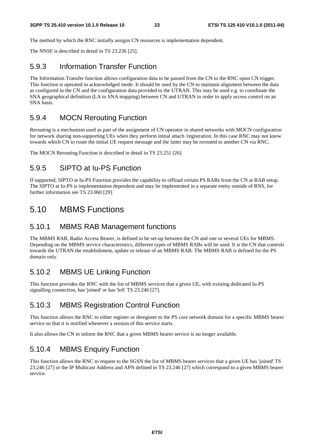The method by which the RNC initially assigns CN resources is implementation dependent.

The NNSF is described in detail in TS 23.236 [25].

#### 5.9.3 Information Transfer Function

The Information Transfer function allows configuration data to be passed from the CN to the RNC upon CN trigger. This function is operated in acknowledged mode. It should be used by the CN to maintain alignment between the data as configured in the CN and the configuration data provided to the UTRAN. This may be used e.g. to coordinate the SNA geographical definition (LA to SNA mapping) between CN and UTRAN in order to apply access control on an SNA basis.

#### 5.9.4 MOCN Rerouting Function

Rerouting is a mechanism used as part of the assignment of CN operator in shared networks with MOCN configuration for network sharing non-supporting UEs when they perform initial attach /registration. In this case RNC may not know towards which CN to route the initial UE request message and the latter may be rerouted to another CN via RNC.

The MOCN Rerouting Function is described in detail in TS 23.251 [26].

#### 5.9.5 SIPTO at Iu-PS Function

If supported, SIPTO at Iu-PS Function provides the capability to offload certain PS RABs from the CN at RAB setup. The SIPTO at Iu-PS is implementation dependent and may be implemented in a separate entity outside of RNS, for further information see TS 23.060 [29].

### 5.10 MBMS Functions

#### 5.10.1 MBMS RAB Management functions

The MBMS RAB, Radio Access Bearer, is defined to be set-up between the CN and one or several UEs for MBMS. Depending on the MBMS service characteristics, different types of MBMS RABs will be used. It is the CN that controls towards the UTRAN the establishment, update or release of an MBMS RAB. The MBMS RAB is defined for the PS domain only.

### 5.10.2 MBMS UE Linking Function

This function provides the RNC with the list of MBMS services that a given UE, with existing dedicated Iu-PS signalling connection, has 'joined' or has 'left' TS 23.246 [27].

### 5.10.3 MBMS Registration Control Function

This function allows the RNC to either register or deregister to the PS core network domain for a specific MBMS bearer service so that it is notified whenever a session of this service starts.

It also allows the CN to inform the RNC that a given MBMS bearer service is no longer available.

### 5.10.4 MBMS Enquiry Function

This function allows the RNC to request to the SGSN the list of MBMS bearer services that a given UE has 'joined' TS 23.246 [27] or the IP Multicast Address and APN defined in TS 23.246 [27] which correspond to a given MBMS bearer service.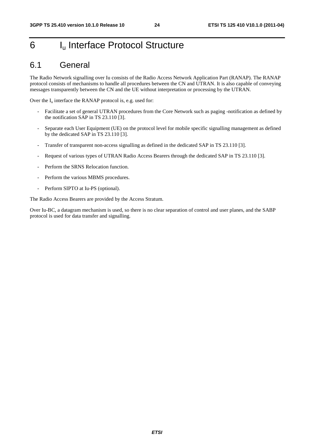# 6 I<sub>u</sub> Interface Protocol Structure

### 6.1 General

The Radio Network signalling over Iu consists of the Radio Access Network Application Part (RANAP). The RANAP protocol consists of mechanisms to handle all procedures between the CN and UTRAN. It is also capable of conveying messages transparently between the CN and the UE without interpretation or processing by the UTRAN.

Over the  $I_u$  interface the RANAP protocol is, e.g. used for:

- Facilitate a set of general UTRAN procedures from the Core Network such as paging -notification as defined by the notification SAP in TS 23.110 [3].
- Separate each User Equipment (UE) on the protocol level for mobile specific signalling management as defined by the dedicated SAP in TS 23.110 [3].
- Transfer of transparent non-access signalling as defined in the dedicated SAP in TS 23.110 [3].
- Request of various types of UTRAN Radio Access Bearers through the dedicated SAP in TS 23.110 [3].
- Perform the SRNS Relocation function.
- Perform the various MBMS procedures.
- Perform SIPTO at Iu-PS (optional).

The Radio Access Bearers are provided by the Access Stratum.

Over Iu-BC, a datagram mechanism is used, so there is no clear separation of control and user planes, and the SABP protocol is used for data transfer and signalling.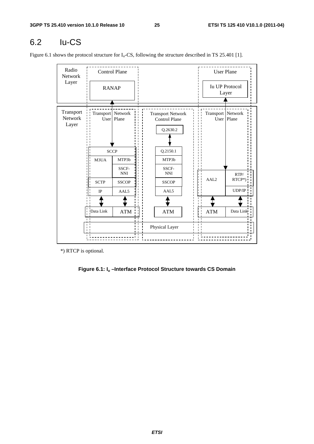# 6.2 Iu-CS

Figure 6.1 shows the protocol structure for  $I_u$ -CS, following the structure described in TS 25.401 [1].

| Radio<br>Network              |                   | <b>Control Plane</b> |                                                              |   |                     | <b>User Plane</b>              |
|-------------------------------|-------------------|----------------------|--------------------------------------------------------------|---|---------------------|--------------------------------|
| Layer                         | <b>RANAP</b>      |                      |                                                              |   |                     | <b>Iu UP Protocol</b><br>Layer |
| Transport<br>Network<br>Layer | Transport Network | User Plane           | <b>Transport Network</b><br><b>Control Plane</b><br>Q.2630.2 |   | Transport   Network | $\overline{U}$ ser   Plane     |
|                               |                   | <b>SCCP</b>          | Q.2150.1                                                     |   |                     |                                |
|                               | M3UA              | MTP3b                | MTP3b                                                        |   |                     |                                |
|                               |                   | SSCF-<br><b>NNI</b>  | SSCF-<br><b>NNI</b>                                          |   |                     | RTP/                           |
|                               | <b>SCTP</b>       | <b>SSCOP</b>         | <b>SSCOP</b>                                                 |   | AAL <sub>2</sub>    | RTCP*)                         |
|                               | $_{\rm IP}$       | AAL <sub>5</sub>     | AAL5                                                         |   |                     | UDP/IP                         |
|                               |                   |                      |                                                              | п |                     |                                |
|                               | Data Link         | <b>ATM</b>           | $\bold{ATM}$                                                 |   | <b>ATM</b>          | Data Link                      |
|                               |                   |                      | Physical Layer                                               |   |                     |                                |

\*) RTCP is optional.

**Figure 6.1: Iu –Interface Protocol Structure towards CS Domain**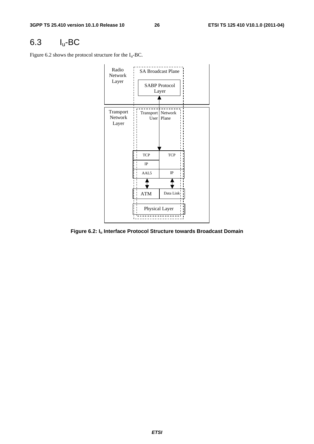# 6.3 Iu-BC

Figure 6.2 shows the protocol structure for the  $I_u$ -BC.



**Figure 6.2: Iu Interface Protocol Structure towards Broadcast Domain**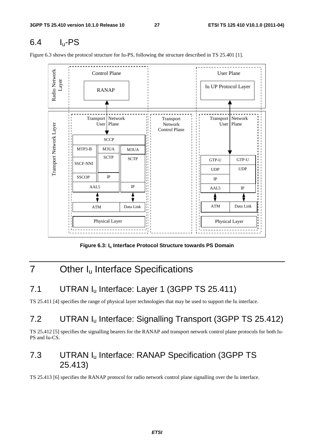# 6.4 Iu-PS

Figure 6.3 shows the protocol structure for Iu-PS, following the structure described in TS 25.401 [1].



Figure 6.3: I<sub>u</sub> Interface Protocol Structure towards PS Domain

# 7 Other I<sub>u</sub> Interface Specifications

# 7.1 UTRAN I<sub>u</sub> Interface: Layer 1 (3GPP TS 25.411)

TS 25.411 [4] specifies the range of physical layer technologies that may be used to support the Iu interface.

# 7.2 UTRAN I<sub>u</sub> Interface: Signalling Transport (3GPP TS 25.412)

TS 25.412 [5] specifies the signalling bearers for the RANAP and transport network control plane protocols for both Iu-PS and Iu-CS.

# 7.3 UTRAN Iu Interface: RANAP Specification (3GPP TS 25.413)

TS 25.413 [6] specifies the RANAP protocol for radio network control plane signalling over the Iu interface.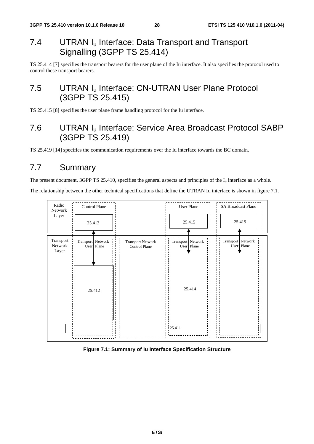# 7.4 UTRAN I<sub>u</sub> Interface: Data Transport and Transport Signalling (3GPP TS 25.414)

TS 25.414 [7] specifies the transport bearers for the user plane of the Iu interface. It also specifies the protocol used to control these transport bearers.

# 7.5 UTRAN I<sub>u</sub> Interface: CN-UTRAN User Plane Protocol (3GPP TS 25.415)

TS 25.415 [8] specifies the user plane frame handling protocol for the Iu interface.

# 7.6 UTRAN Iu Interface: Service Area Broadcast Protocol SABP (3GPP TS 25.419)

TS 25.419 [14] specifies the communication requirements over the Iu interface towards the BC domain.

# 7.7 Summary

The present document, 3GPP TS 25.410, specifies the general aspects and principles of the  $I_u$  interface as a whole.

The relationship between the other technical specifications that define the UTRAN Iu interface is shown in figure 7.1.



#### **Figure 7.1: Summary of Iu Interface Specification Structure**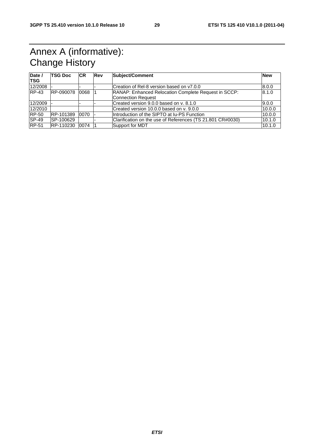# Annex A (informative): Change History

| Date /<br><b>TSG</b> | <b>TSG Doc</b> | <b>ICR</b> | Rev | Subject/Comment                                                                            | <b>New</b> |
|----------------------|----------------|------------|-----|--------------------------------------------------------------------------------------------|------------|
| 12/2008              |                |            |     | Creation of Rel-8 version based on y7.0.0                                                  | 8.0.0      |
| $IRP-43$             | RP-090078      | 10068      |     | RANAP: Enhanced Relocation Complete Request in SCCP:<br>8.1.0<br><b>Connection Request</b> |            |
| 12/2009              |                |            |     | Created version 9.0.0 based on y, 8.1.0                                                    | 9.0.0      |
| 12/2010              |                |            |     | Created version 10.0.0 based on y. 9.0.0                                                   | 10.0.0     |
| <b>RP-50</b>         | RP-101389      | 0070       |     | Introduction of the SIPTO at Iu-PS Function                                                | 10.0.0     |
| $ SP-49 $            | SP-100629      |            |     | Clarification on the use of References (TS 21.801 CR#0030)                                 | 10.1.0     |
| <b>RP-51</b>         | RP-110230      | 0074       |     | Support for MDT                                                                            | 10.1.0     |